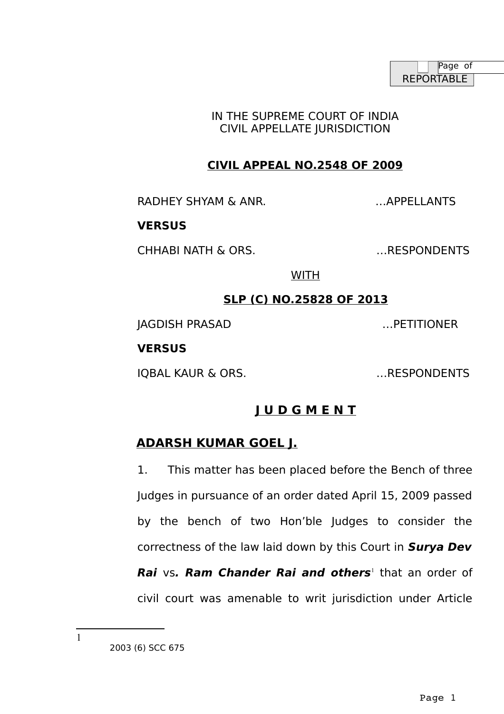IN THE SUPREME COURT OF INDIA CIVIL APPELLATE JURISDICTION

# **CIVIL APPEAL NO.2548 OF 2009**

RADHEY SHYAM & ANR. **EXAMPLE AND SHIPLING AND ACCOUNT AND ACCOUNT** AND THE METAL AND THE METAL OF THE METAL SHIPLING AND THE METAL OF THE METAL SHIPLING AND THE METAL OF THE METAL OF THE METAL OF THE METAL OF THE METAL OF

## **VERSUS**

CHHABI NATH & ORS. …RESPONDENTS

WITH

## **SLP (C) NO.25828 OF 2013**

JAGDISH PRASAD …PETITIONER

## **VERSUS**

IQBAL KAUR & ORS. …RESPONDENTS

# **J U D G M E N T**

# **ADARSH KUMAR GOEL J.**

1. This matter has been placed before the Bench of three Judges in pursuance of an order dated April 15, 2009 passed by the bench of two Hon'ble Judges to consider the correctness of the law laid down by this Court in **Surya Dev Rai** vs. Ram Chander Rai and others<sup>[1](#page-0-0)</sup> that an order of

civil court was amenable to writ jurisdiction under Article

2003 (6) SCC 675

<span id="page-0-0"></span>1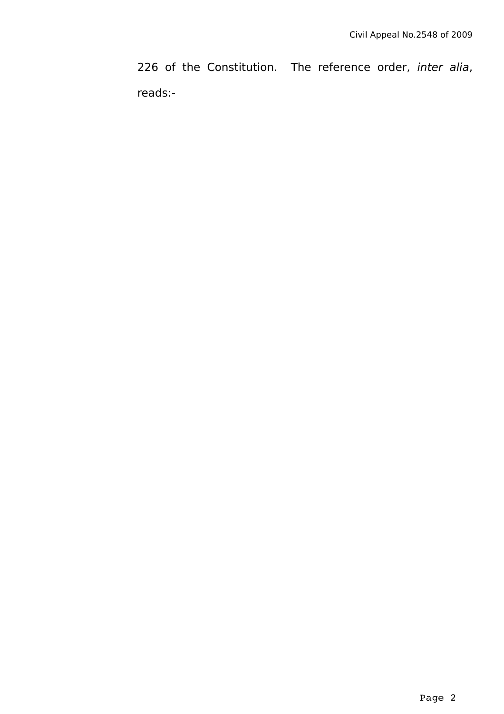226 of the Constitution. The reference order, inter alia, reads:-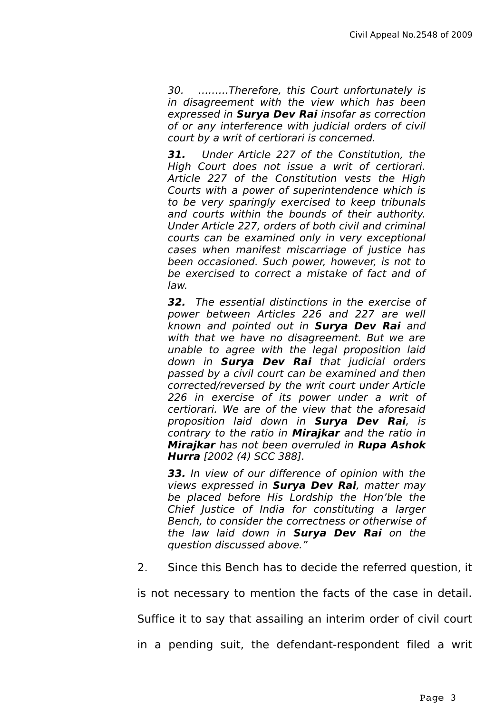30. ………Therefore, this Court unfortunately is in disagreement with the view which has been expressed in **Surya Dev Rai** insofar as correction of or any interference with judicial orders of civil court by a writ of certiorari is concerned.

**31.** Under Article 227 of the Constitution, the High Court does not issue a writ of certiorari. Article 227 of the Constitution vests the High Courts with a power of superintendence which is to be very sparingly exercised to keep tribunals and courts within the bounds of their authority. Under Article 227, orders of both civil and criminal courts can be examined only in very exceptional cases when manifest miscarriage of justice has been occasioned. Such power, however, is not to be exercised to correct a mistake of fact and of law.

**32.** The essential distinctions in the exercise of power between Articles 226 and 227 are well known and pointed out in **Surya Dev Rai** and with that we have no disagreement. But we are unable to agree with the legal proposition laid down in **Surya Dev Rai** that judicial orders passed by a civil court can be examined and then corrected/reversed by the writ court under Article 226 in exercise of its power under a writ of certiorari. We are of the view that the aforesaid proposition laid down in **Surya Dev Rai**, is contrary to the ratio in **Mirajkar** and the ratio in **Mirajkar** has not been overruled in **Rupa Ashok Hurra** [2002 (4) SCC 388].

**33.** In view of our difference of opinion with the views expressed in **Surya Dev Rai**, matter may be placed before His Lordship the Hon'ble the Chief Justice of India for constituting a larger Bench, to consider the correctness or otherwise of the law laid down in **Surya Dev Rai** on the question discussed above."

2. Since this Bench has to decide the referred question, it

is not necessary to mention the facts of the case in detail.

Suffice it to say that assailing an interim order of civil court

in a pending suit, the defendant-respondent filed a writ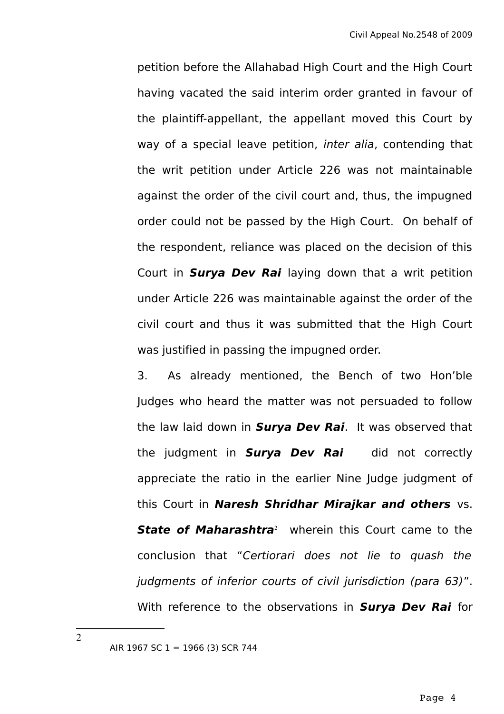petition before the Allahabad High Court and the High Court having vacated the said interim order granted in favour of the plaintiff-appellant, the appellant moved this Court by way of a special leave petition, inter alia, contending that the writ petition under Article 226 was not maintainable against the order of the civil court and, thus, the impugned order could not be passed by the High Court. On behalf of the respondent, reliance was placed on the decision of this Court in **Surya Dev Rai** laying down that a writ petition under Article 226 was maintainable against the order of the civil court and thus it was submitted that the High Court was justified in passing the impugned order.

3. As already mentioned, the Bench of two Hon'ble Judges who heard the matter was not persuaded to follow the law laid down in **Surya Dev Rai**. It was observed that the judgment in **Surya Dev Rai** did not correctly appreciate the ratio in the earlier Nine Judge judgment of this Court in **Naresh Shridhar Mirajkar and others** vs. **State of Maharashtra**[2](#page-3-0) wherein this Court came to the conclusion that "Certiorari does not lie to quash the judgments of inferior courts of civil jurisdiction (para 63)". With reference to the observations in **Surya Dev Rai** for

<span id="page-3-0"></span> $\mathfrak{D}$ 

AIR 1967 SC 1 = 1966 (3) SCR 744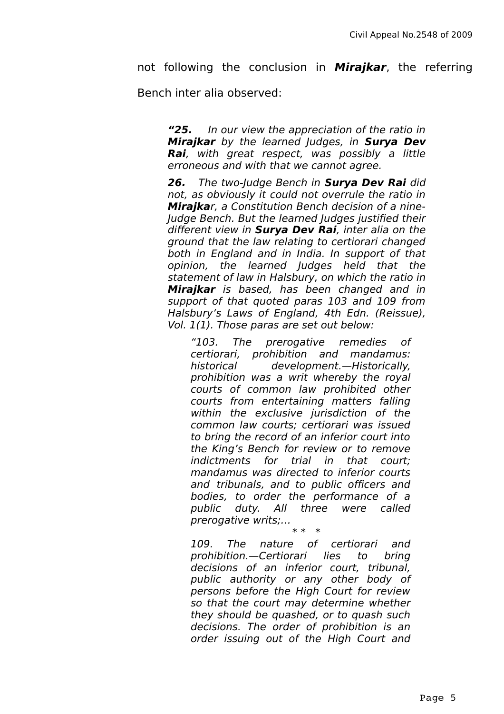not following the conclusion in **Mirajkar**, the referring

Bench inter alia observed:

**"25.** In our view the appreciation of the ratio in **Mirajkar** by the learned Judges, in **Surya Dev Rai**, with great respect, was possibly a little erroneous and with that we cannot agree.

**26.** The two-Judge Bench in **Surya Dev Rai** did not, as obviously it could not overrule the ratio in **Mirajka**r, a Constitution Bench decision of a nine-Judge Bench. But the learned Judges justified their different view in **Surya Dev Rai**, inter alia on the ground that the law relating to certiorari changed both in England and in India. In support of that opinion, the learned Judges held that the statement of law in Halsbury, on which the ratio in **Mirajkar** is based, has been changed and in support of that quoted paras 103 and 109 from Halsbury's Laws of England, 4th Edn. (Reissue), Vol. 1(1). Those paras are set out below:

"103. The prerogative remedies of certiorari, prohibition and mandamus: historical development.—Historically, prohibition was a writ whereby the royal courts of common law prohibited other courts from entertaining matters falling within the exclusive jurisdiction of the common law courts; certiorari was issued to bring the record of an inferior court into the King's Bench for review or to remove indictments for trial in that court; mandamus was directed to inferior courts and tribunals, and to public officers and bodies, to order the performance of a public duty. All three were called prerogative writs;… \* \* \*

109. The nature of certiorari and prohibition.—Certiorari lies to bring decisions of an inferior court, tribunal, public authority or any other body of persons before the High Court for review so that the court may determine whether they should be quashed, or to quash such decisions. The order of prohibition is an order issuing out of the High Court and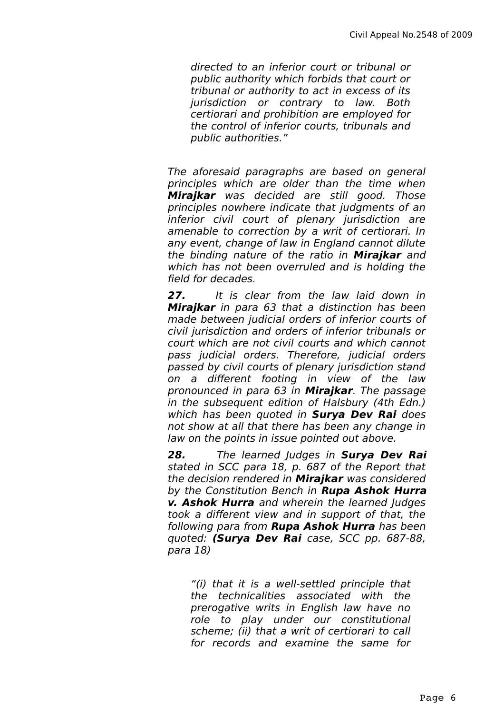directed to an inferior court or tribunal or public authority which forbids that court or tribunal or authority to act in excess of its jurisdiction or contrary to law. Both certiorari and prohibition are employed for the control of inferior courts, tribunals and public authorities."

The aforesaid paragraphs are based on general principles which are older than the time when **Mirajkar** was decided are still good. Those principles nowhere indicate that judgments of an inferior civil court of plenary jurisdiction are amenable to correction by a writ of certiorari. In any event, change of law in England cannot dilute the binding nature of the ratio in **Mirajkar** and which has not been overruled and is holding the field for decades.

**27.** It is clear from the law laid down in **Mirajkar** in para 63 that a distinction has been made between judicial orders of inferior courts of civil jurisdiction and orders of inferior tribunals or court which are not civil courts and which cannot pass judicial orders. Therefore, judicial orders passed by civil courts of plenary jurisdiction stand on a different footing in view of the law pronounced in para 63 in **Mirajkar**. The passage in the subsequent edition of Halsbury (4th Edn.) which has been quoted in **Surya Dev Rai** does not show at all that there has been any change in law on the points in issue pointed out above.

**28.** The learned Judges in **Surya Dev Rai** stated in SCC para 18, p. 687 of the Report that the decision rendered in **Mirajkar** was considered by the Constitution Bench in **Rupa Ashok Hurra v. Ashok Hurra** and wherein the learned Judges took a different view and in support of that, the following para from **Rupa Ashok Hurra** has been quoted: **(Surya Dev Rai** case, SCC pp. 687-88, para 18)

"(i) that it is a well-settled principle that the technicalities associated with the prerogative writs in English law have no role to play under our constitutional scheme; (ii) that a writ of certiorari to call for records and examine the same for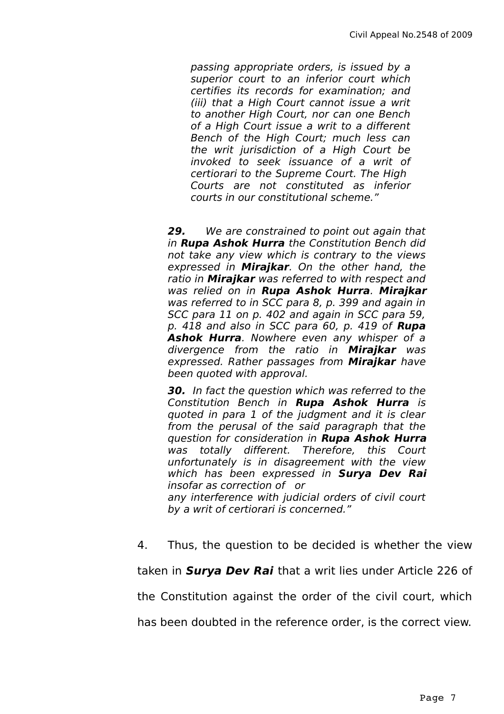passing appropriate orders, is issued by a superior court to an inferior court which certifies its records for examination; and (iii) that a High Court cannot issue a writ to another High Court, nor can one Bench of a High Court issue a writ to a different Bench of the High Court; much less can the writ jurisdiction of a High Court be invoked to seek issuance of a writ of certiorari to the Supreme Court. The High Courts are not constituted as inferior courts in our constitutional scheme."

**29.** We are constrained to point out again that in **Rupa Ashok Hurra** the Constitution Bench did not take any view which is contrary to the views expressed in **Mirajkar**. On the other hand, the ratio in **Mirajkar** was referred to with respect and was relied on in **Rupa Ashok Hurra**. **Mirajkar** was referred to in SCC para 8, p. 399 and again in SCC para 11 on p. 402 and again in SCC para 59, p. 418 and also in SCC para 60, p. 419 of **Rupa Ashok Hurra**. Nowhere even any whisper of a divergence from the ratio in **Mirajkar** was expressed. Rather passages from **Mirajkar** have been quoted with approval.

**30.** In fact the question which was referred to the Constitution Bench in **Rupa Ashok Hurra** is quoted in para 1 of the judgment and it is clear from the perusal of the said paragraph that the question for consideration in **Rupa Ashok Hurra** was totally different. Therefore, this Court unfortunately is in disagreement with the view which has been expressed in **Surya Dev Rai** insofar as correction of or any interference with judicial orders of civil court by a writ of certiorari is concerned."

4. Thus, the question to be decided is whether the view taken in **Surya Dev Rai** that a writ lies under Article 226 of the Constitution against the order of the civil court, which has been doubted in the reference order, is the correct view.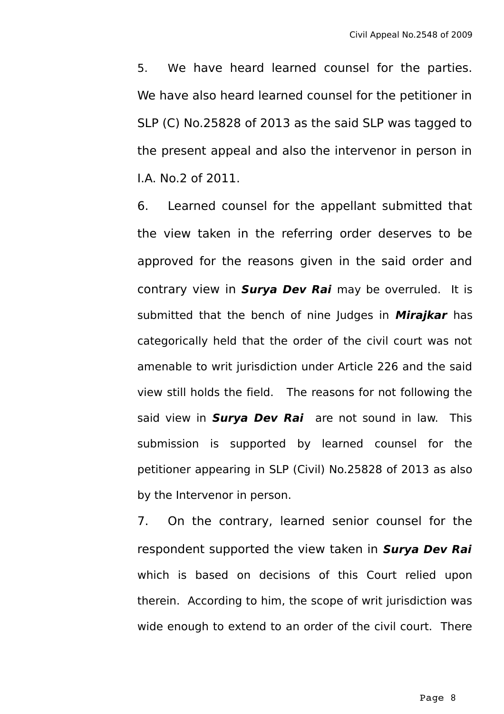5. We have heard learned counsel for the parties. We have also heard learned counsel for the petitioner in SLP (C) No.25828 of 2013 as the said SLP was tagged to the present appeal and also the intervenor in person in I.A. No.2 of 2011.

6. Learned counsel for the appellant submitted that the view taken in the referring order deserves to be approved for the reasons given in the said order and contrary view in **Surya Dev Rai** may be overruled. It is submitted that the bench of nine Judges in **Mirajkar** has categorically held that the order of the civil court was not amenable to writ jurisdiction under Article 226 and the said view still holds the field. The reasons for not following the said view in **Surya Dev Rai** are not sound in law. This submission is supported by learned counsel for the petitioner appearing in SLP (Civil) No.25828 of 2013 as also by the Intervenor in person.

7. On the contrary, learned senior counsel for the respondent supported the view taken in **Surya Dev Rai** which is based on decisions of this Court relied upon therein. According to him, the scope of writ jurisdiction was wide enough to extend to an order of the civil court. There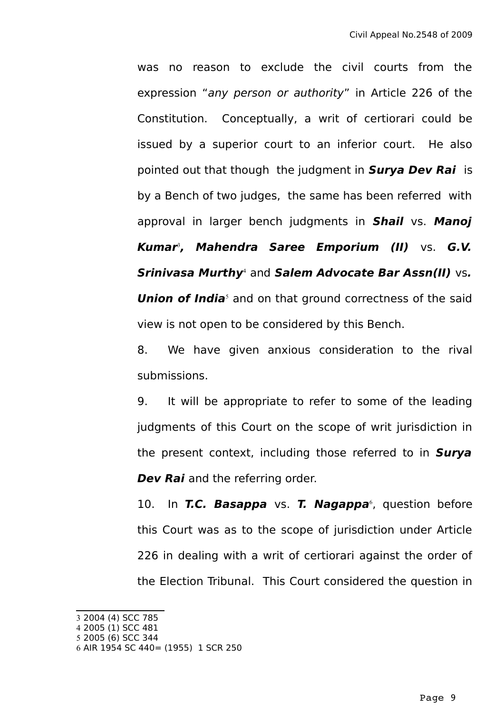was no reason to exclude the civil courts from the expression "any person or authority" in Article 226 of the Constitution. Conceptually, a writ of certiorari could be issued by a superior court to an inferior court. He also pointed out that though the judgment in **Surya Dev Rai** is by a Bench of two judges, the same has been referred with approval in larger bench judgments in **Shail** vs. **Manoj Kumar**[3](#page-8-0) **, Mahendra Saree Emporium (II)** vs. **G.V. Srinivasa Murthy**[4](#page-8-1) and **Salem Advocate Bar Assn(II)** vs**. Union of India**<sup>[5](#page-8-2)</sup> and on that ground correctness of the said view is not open to be considered by this Bench.

8. We have given anxious consideration to the rival submissions.

9. It will be appropriate to refer to some of the leading judgments of this Court on the scope of writ jurisdiction in the present context, including those referred to in **Surya Dev Rai** and the referring order.

10. In **T.C. Basappa** vs. **T. Nagappa**[6](#page-8-3) , question before this Court was as to the scope of jurisdiction under Article 226 in dealing with a writ of certiorari against the order of the Election Tribunal. This Court considered the question in

- <span id="page-8-1"></span>4 2005 (1) SCC 481
- <span id="page-8-2"></span>5 2005 (6) SCC 344

<span id="page-8-0"></span><sup>3</sup> 2004 (4) SCC 785

<span id="page-8-3"></span><sup>6</sup> AIR 1954 SC 440= (1955) 1 SCR 250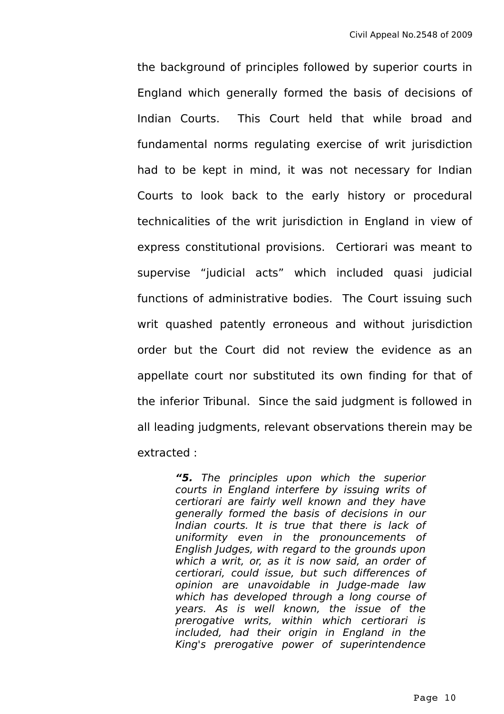the background of principles followed by superior courts in England which generally formed the basis of decisions of Indian Courts. This Court held that while broad and fundamental norms regulating exercise of writ jurisdiction had to be kept in mind, it was not necessary for Indian Courts to look back to the early history or procedural technicalities of the writ jurisdiction in England in view of express constitutional provisions. Certiorari was meant to supervise "judicial acts" which included quasi judicial functions of administrative bodies. The Court issuing such writ quashed patently erroneous and without jurisdiction order but the Court did not review the evidence as an appellate court nor substituted its own finding for that of the inferior Tribunal. Since the said judgment is followed in all leading judgments, relevant observations therein may be extracted :

> **"5.** The principles upon which the superior courts in England interfere by issuing writs of certiorari are fairly well known and they have generally formed the basis of decisions in our Indian courts. It is true that there is lack of uniformity even in the pronouncements of English Judges, with regard to the grounds upon which a writ, or, as it is now said, an order of certiorari, could issue, but such differences of opinion are unavoidable in Judge-made law which has developed through a long course of years. As is well known, the issue of the prerogative writs, within which certiorari is included, had their origin in England in the King's prerogative power of superintendence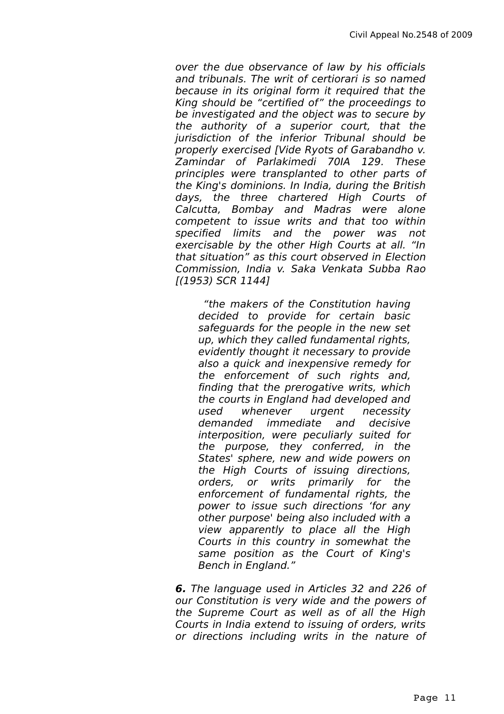over the due observance of law by his officials and tribunals. The writ of certiorari is so named because in its original form it required that the King should be "certified of" the proceedings to be investigated and the object was to secure by the authority of a superior court, that the iurisdiction of the inferior Tribunal should be properly exercised [Vide Ryots of Garabandho v. Zamindar of Parlakimedi 70IA 129. These principles were transplanted to other parts of the King's dominions. In India, during the British days, the three chartered High Courts of Calcutta, Bombay and Madras were alone competent to issue writs and that too within specified limits and the power was not exercisable by the other High Courts at all. "In that situation" as this court observed in Election Commission, India v. Saka Venkata Subba Rao [(1953) SCR 1144]

 "the makers of the Constitution having decided to provide for certain basic safeguards for the people in the new set up, which they called fundamental rights, evidently thought it necessary to provide also a quick and inexpensive remedy for the enforcement of such rights and, finding that the prerogative writs, which the courts in England had developed and used whenever urgent necessity demanded immediate and decisive interposition, were peculiarly suited for the purpose, they conferred, in the States' sphere, new and wide powers on the High Courts of issuing directions, orders, or writs primarily for the enforcement of fundamental rights, the power to issue such directions 'for any other purpose' being also included with a view apparently to place all the High Courts in this country in somewhat the same position as the Court of King's Bench in England."

**6.** The language used in Articles 32 and 226 of our Constitution is very wide and the powers of the Supreme Court as well as of all the High Courts in India extend to issuing of orders, writs or directions including writs in the nature of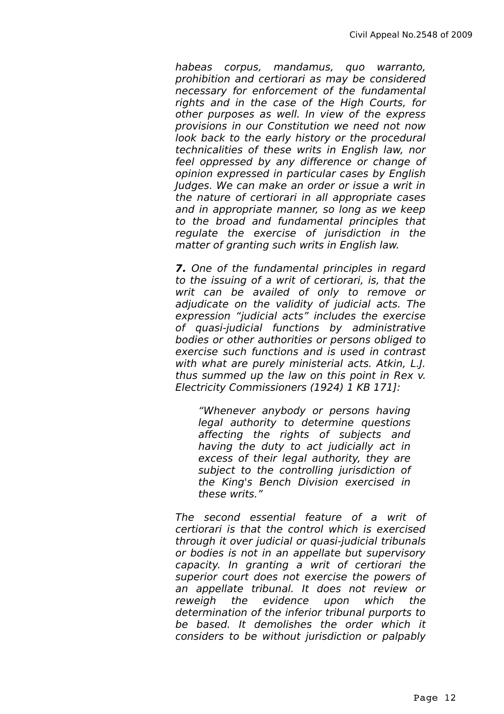habeas corpus, mandamus, quo warranto, prohibition and certiorari as may be considered necessary for enforcement of the fundamental rights and in the case of the High Courts, for other purposes as well. In view of the express provisions in our Constitution we need not now look back to the early history or the procedural technicalities of these writs in English law, nor feel oppressed by any difference or change of opinion expressed in particular cases by English Judges. We can make an order or issue a writ in the nature of certiorari in all appropriate cases and in appropriate manner, so long as we keep to the broad and fundamental principles that regulate the exercise of jurisdiction in the matter of granting such writs in English law.

**7.** One of the fundamental principles in regard to the issuing of a writ of certiorari, is, that the writ can be availed of only to remove or adjudicate on the validity of judicial acts. The expression "judicial acts" includes the exercise of quasi-judicial functions by administrative bodies or other authorities or persons obliged to exercise such functions and is used in contrast with what are purely ministerial acts. Atkin, L.J. thus summed up the law on this point in Rex v. Electricity Commissioners (1924) 1 KB 171]:

"Whenever anybody or persons having legal authority to determine questions affecting the rights of subjects and having the duty to act judicially act in excess of their legal authority, they are subject to the controlling jurisdiction of the King's Bench Division exercised in these writs."

The second essential feature of a writ of certiorari is that the control which is exercised through it over judicial or quasi-judicial tribunals or bodies is not in an appellate but supervisory capacity. In granting a writ of certiorari the superior court does not exercise the powers of an appellate tribunal. It does not review or reweigh the evidence upon which the determination of the inferior tribunal purports to be based. It demolishes the order which it considers to be without jurisdiction or palpably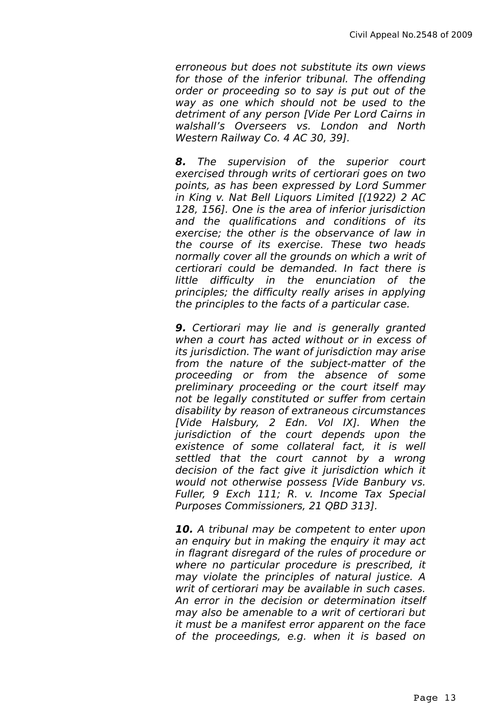erroneous but does not substitute its own views for those of the inferior tribunal. The offending order or proceeding so to say is put out of the way as one which should not be used to the detriment of any person [Vide Per Lord Cairns in walshall's Overseers vs. London and North Western Railway Co. 4 AC 30, 39].

**8.** The supervision of the superior court exercised through writs of certiorari goes on two points, as has been expressed by Lord Summer in King v. Nat Bell Liquors Limited [(1922) 2 AC 128, 156]. One is the area of inferior jurisdiction and the qualifications and conditions of its exercise; the other is the observance of law in the course of its exercise. These two heads normally cover all the grounds on which a writ of certiorari could be demanded. In fact there is little difficulty in the enunciation of the principles; the difficulty really arises in applying the principles to the facts of a particular case.

**9.** Certiorari may lie and is generally granted when a court has acted without or in excess of its jurisdiction. The want of jurisdiction may arise from the nature of the subject-matter of the proceeding or from the absence of some preliminary proceeding or the court itself may not be legally constituted or suffer from certain disability by reason of extraneous circumstances [Vide Halsbury, 2 Edn. Vol IX]. When the jurisdiction of the court depends upon the existence of some collateral fact, it is well settled that the court cannot by a wrong decision of the fact give it jurisdiction which it would not otherwise possess [Vide Banbury vs. Fuller, 9 Exch 111; R. v. Income Tax Special Purposes Commissioners, 21 QBD 313].

**10.** A tribunal may be competent to enter upon an enquiry but in making the enquiry it may act in flagrant disregard of the rules of procedure or where no particular procedure is prescribed, it may violate the principles of natural justice. A writ of certiorari may be available in such cases. An error in the decision or determination itself may also be amenable to a writ of certiorari but it must be a manifest error apparent on the face of the proceedings, e.g. when it is based on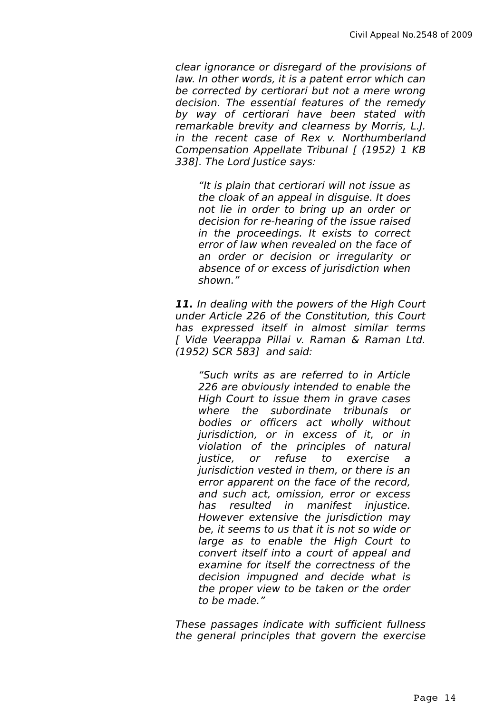clear ignorance or disregard of the provisions of law. In other words, it is a patent error which can be corrected by certiorari but not a mere wrong decision. The essential features of the remedy by way of certiorari have been stated with remarkable brevity and clearness by Morris, L.J. in the recent case of Rex v. Northumberland Compensation Appellate Tribunal [ (1952) 1 KB 338]. The Lord Justice says:

"It is plain that certiorari will not issue as the cloak of an appeal in disguise. It does not lie in order to bring up an order or decision for re-hearing of the issue raised in the proceedings. It exists to correct error of law when revealed on the face of an order or decision or irregularity or absence of or excess of jurisdiction when shown."

**11.** In dealing with the powers of the High Court under Article 226 of the Constitution, this Court has expressed itself in almost similar terms [ Vide Veerappa Pillai v. Raman & Raman Ltd. (1952) SCR 583] and said:

"Such writs as are referred to in Article 226 are obviously intended to enable the High Court to issue them in grave cases where the subordinate tribunals or bodies or officers act wholly without jurisdiction, or in excess of it, or in violation of the principles of natural justice, or refuse to exercise a jurisdiction vested in them, or there is an error apparent on the face of the record, and such act, omission, error or excess has resulted in manifest injustice. However extensive the jurisdiction may be, it seems to us that it is not so wide or large as to enable the High Court to convert itself into a court of appeal and examine for itself the correctness of the decision impugned and decide what is the proper view to be taken or the order to be made."

These passages indicate with sufficient fullness the general principles that govern the exercise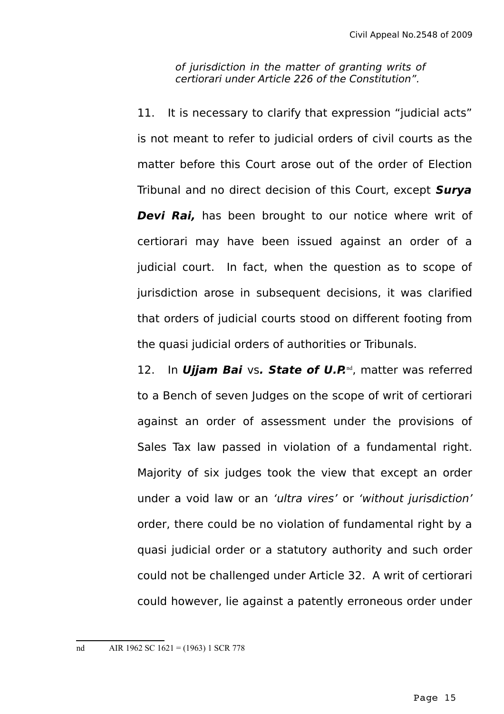of jurisdiction in the matter of granting writs of certiorari under Article 226 of the Constitution".

11. It is necessary to clarify that expression "judicial acts" is not meant to refer to judicial orders of civil courts as the matter before this Court arose out of the order of Election Tribunal and no direct decision of this Court, except **Surya Devi Rai,** has been brought to our notice where writ of certiorari may have been issued against an order of a judicial court. In fact, when the question as to scope of jurisdiction arose in subsequent decisions, it was clarified that orders of judicial courts stood on different footing from the quasi judicial orders of authorities or Tribunals.

12. In **Ujjam Bai** vs. State of U.P.<sup>[nd](#page-14-0)</sup>, matter was referred to a Bench of seven Judges on the scope of writ of certiorari against an order of assessment under the provisions of Sales Tax law passed in violation of a fundamental right. Majority of six judges took the view that except an order under a void law or an 'ultra vires' or 'without jurisdiction' order, there could be no violation of fundamental right by a quasi judicial order or a statutory authority and such order could not be challenged under Article 32. A writ of certiorari could however, lie against a patently erroneous order under

<span id="page-14-0"></span>nd AIR 1962 SC 1621 = (1963) 1 SCR 778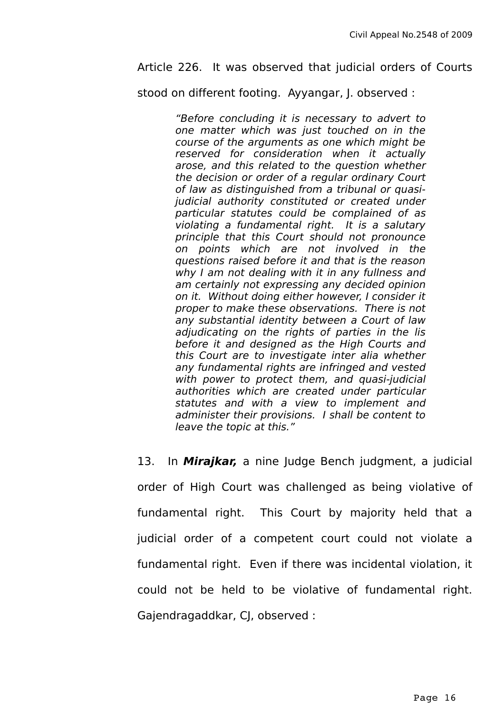#### Article 226. It was observed that judicial orders of Courts

stood on different footing. Ayyangar, J. observed :

"Before concluding it is necessary to advert to one matter which was just touched on in the course of the arguments as one which might be reserved for consideration when it actually arose, and this related to the question whether the decision or order of a regular ordinary Court of law as distinguished from a tribunal or quasijudicial authority constituted or created under particular statutes could be complained of as violating a fundamental right. It is a salutary principle that this Court should not pronounce on points which are not involved in the questions raised before it and that is the reason why I am not dealing with it in any fullness and am certainly not expressing any decided opinion on it. Without doing either however, I consider it proper to make these observations. There is not any substantial identity between a Court of law adjudicating on the rights of parties in the lis before it and designed as the High Courts and this Court are to investigate inter alia whether any fundamental rights are infringed and vested with power to protect them, and quasi-judicial authorities which are created under particular statutes and with a view to implement and administer their provisions. I shall be content to leave the topic at this."

13. In **Mirajkar,** a nine Judge Bench judgment, a judicial order of High Court was challenged as being violative of fundamental right. This Court by majority held that a judicial order of a competent court could not violate a fundamental right. Even if there was incidental violation, it could not be held to be violative of fundamental right. Gajendragaddkar, CJ, observed :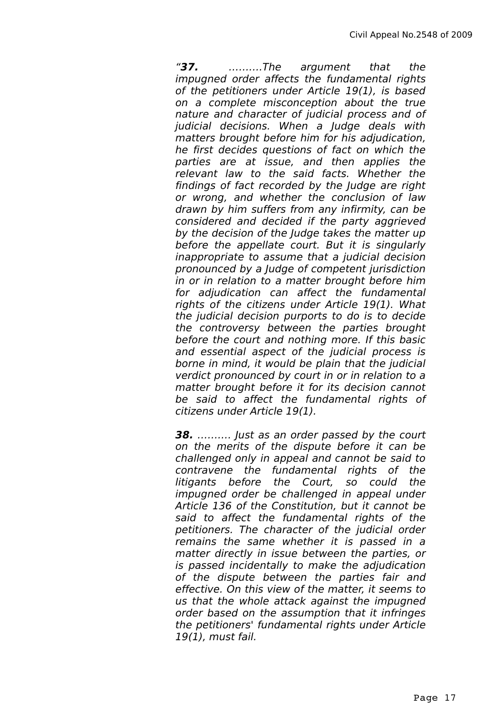"**37.** ……….The argument that the impugned order affects the fundamental rights of the petitioners under Article 19(1), is based on a complete misconception about the true nature and character of judicial process and of judicial decisions. When a Judge deals with matters brought before him for his adjudication, he first decides questions of fact on which the parties are at issue, and then applies the relevant law to the said facts. Whether the findings of fact recorded by the Judge are right or wrong, and whether the conclusion of law drawn by him suffers from any infirmity, can be considered and decided if the party aggrieved by the decision of the Judge takes the matter up before the appellate court. But it is singularly inappropriate to assume that a judicial decision pronounced by a Judge of competent jurisdiction in or in relation to a matter brought before him for adjudication can affect the fundamental rights of the citizens under Article 19(1). What the judicial decision purports to do is to decide the controversy between the parties brought before the court and nothing more. If this basic and essential aspect of the judicial process is borne in mind, it would be plain that the judicial verdict pronounced by court in or in relation to a matter brought before it for its decision cannot be said to affect the fundamental rights of citizens under Article 19(1).

**38.** ………. Just as an order passed by the court on the merits of the dispute before it can be challenged only in appeal and cannot be said to contravene the fundamental rights of the litigants before the Court, so could the impugned order be challenged in appeal under Article 136 of the Constitution, but it cannot be said to affect the fundamental rights of the petitioners. The character of the judicial order remains the same whether it is passed in a matter directly in issue between the parties, or is passed incidentally to make the adjudication of the dispute between the parties fair and effective. On this view of the matter, it seems to us that the whole attack against the impugned order based on the assumption that it infringes the petitioners' fundamental rights under Article 19(1), must fail.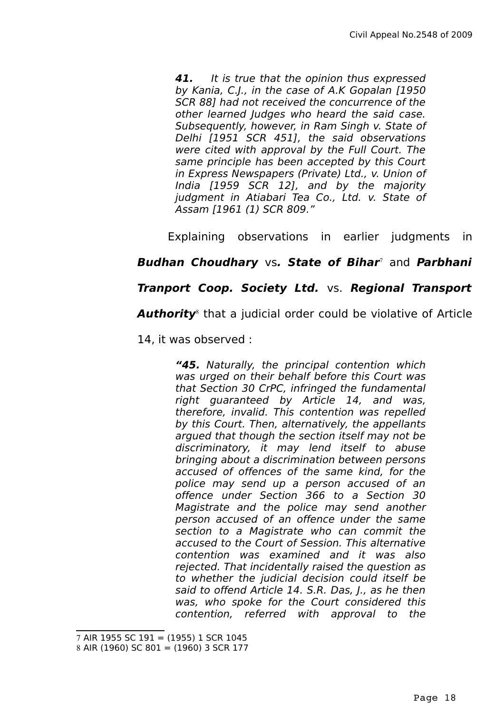**41.** It is true that the opinion thus expressed by Kania, C.J., in the case of A.K Gopalan [1950 SCR 88] had not received the concurrence of the other learned Judges who heard the said case. Subsequently, however, in Ram Singh v. State of Delhi [1951 SCR 451], the said observations were cited with approval by the Full Court. The same principle has been accepted by this Court in Express Newspapers (Private) Ltd., v. Union of India [1959 SCR 12], and by the majority judgment in Atiabari Tea Co., Ltd. v. State of Assam [1961 (1) SCR 809."

Explaining observations in earlier judgments in

## **Budhan Choudhary** vs**. State of Bihar**[7](#page-17-0) and **Parbhani**

## **Tranport Coop. Society Ltd.** vs. **Regional Transport**

**Authority**[8](#page-17-1) that a judicial order could be violative of Article

14, it was observed :

**"45.** Naturally, the principal contention which was urged on their behalf before this Court was that Section 30 CrPC, infringed the fundamental right guaranteed by Article 14, and was, therefore, invalid. This contention was repelled by this Court. Then, alternatively, the appellants argued that though the section itself may not be discriminatory, it may lend itself to abuse bringing about a discrimination between persons accused of offences of the same kind, for the police may send up a person accused of an offence under Section 366 to a Section 30 Magistrate and the police may send another person accused of an offence under the same section to a Magistrate who can commit the accused to the Court of Session. This alternative contention was examined and it was also rejected. That incidentally raised the question as to whether the judicial decision could itself be said to offend Article 14, S.R. Das, J., as he then was, who spoke for the Court considered this contention, referred with approval to the

<span id="page-17-0"></span><sup>7</sup> AIR 1955 SC 191 = (1955) 1 SCR 1045

<span id="page-17-1"></span><sup>8</sup> AIR (1960) SC 801 = (1960) 3 SCR 177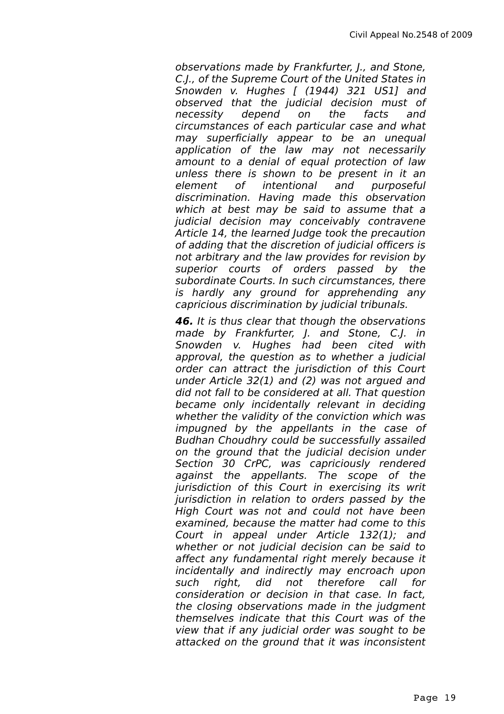observations made by Frankfurter, J., and Stone, C.J., of the Supreme Court of the United States in Snowden v. Hughes [ (1944) 321 US1] and observed that the judicial decision must of necessity depend on the facts and circumstances of each particular case and what may superficially appear to be an unequal application of the law may not necessarily amount to a denial of equal protection of law unless there is shown to be present in it an element of intentional and purposeful discrimination. Having made this observation which at best may be said to assume that a judicial decision may conceivably contravene Article 14, the learned Judge took the precaution of adding that the discretion of judicial officers is not arbitrary and the law provides for revision by superior courts of orders passed by the subordinate Courts. In such circumstances, there is hardly any ground for apprehending any capricious discrimination by judicial tribunals.

**46.** It is thus clear that though the observations made by Frankfurter, J. and Stone, C.J. in Snowden v. Hughes had been cited with approval, the question as to whether a judicial order can attract the jurisdiction of this Court under Article 32(1) and (2) was not argued and did not fall to be considered at all. That question became only incidentally relevant in deciding whether the validity of the conviction which was impugned by the appellants in the case of Budhan Choudhry could be successfully assailed on the ground that the judicial decision under Section 30 CrPC, was capriciously rendered against the appellants. The scope of the jurisdiction of this Court in exercising its writ jurisdiction in relation to orders passed by the High Court was not and could not have been examined, because the matter had come to this Court in appeal under Article 132(1); and whether or not judicial decision can be said to affect any fundamental right merely because it incidentally and indirectly may encroach upon such right, did not therefore call for consideration or decision in that case. In fact, the closing observations made in the judgment themselves indicate that this Court was of the view that if any judicial order was sought to be attacked on the ground that it was inconsistent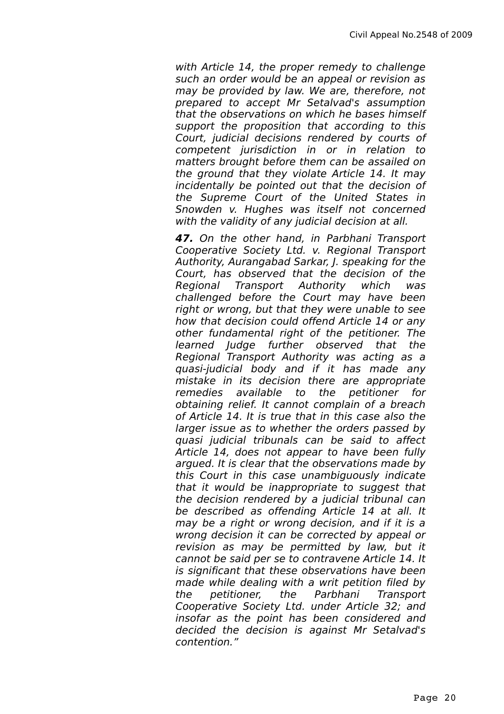with Article 14, the proper remedy to challenge such an order would be an appeal or revision as may be provided by law. We are, therefore, not prepared to accept Mr Setalvad's assumption that the observations on which he bases himself support the proposition that according to this Court, judicial decisions rendered by courts of competent jurisdiction in or in relation to matters brought before them can be assailed on the ground that they violate Article 14. It may incidentally be pointed out that the decision of the Supreme Court of the United States in Snowden v. Hughes was itself not concerned with the validity of any judicial decision at all.

**47.** On the other hand, in Parbhani Transport Cooperative Society Ltd. v. Regional Transport Authority, Aurangabad Sarkar, J. speaking for the Court, has observed that the decision of the Regional Transport Authority which was challenged before the Court may have been right or wrong, but that they were unable to see how that decision could offend Article 14 or any other fundamental right of the petitioner. The learned Judge further observed that the Regional Transport Authority was acting as a quasi-judicial body and if it has made any mistake in its decision there are appropriate remedies available to the petitioner for obtaining relief. It cannot complain of a breach of Article 14. It is true that in this case also the larger issue as to whether the orders passed by quasi judicial tribunals can be said to affect Article 14, does not appear to have been fully argued. It is clear that the observations made by this Court in this case unambiguously indicate that it would be inappropriate to suggest that the decision rendered by a judicial tribunal can be described as offending Article 14 at all. It may be a right or wrong decision, and if it is a wrong decision it can be corrected by appeal or revision as may be permitted by law, but it cannot be said per se to contravene Article 14. It is significant that these observations have been made while dealing with a writ petition filed by the petitioner, the Parbhani Transport Cooperative Society Ltd. under Article 32; and insofar as the point has been considered and decided the decision is against Mr Setalvad's contention."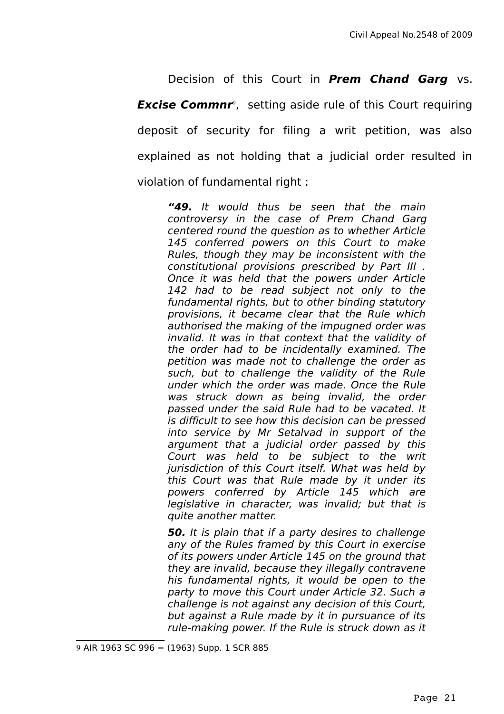Decision of this Court in **Prem Chand Garg** vs. **Excise Commnr**<sup>[9](#page-20-0)</sup>, setting aside rule of this Court requiring deposit of security for filing a writ petition, was also explained as not holding that a judicial order resulted in violation of fundamental right :

**"49.** It would thus be seen that the main controversy in the case of Prem Chand Garg centered round the question as to whether Article 145 conferred powers on this Court to make Rules, though they may be inconsistent with the constitutional provisions prescribed by Part III . Once it was held that the powers under Article 142 had to be read subject not only to the fundamental rights, but to other binding statutory provisions, it became clear that the Rule which authorised the making of the impugned order was invalid. It was in that context that the validity of the order had to be incidentally examined. The petition was made not to challenge the order as such, but to challenge the validity of the Rule under which the order was made. Once the Rule was struck down as being invalid, the order passed under the said Rule had to be vacated. It is difficult to see how this decision can be pressed into service by Mr Setalvad in support of the argument that a judicial order passed by this Court was held to be subject to the writ jurisdiction of this Court itself. What was held by this Court was that Rule made by it under its powers conferred by Article 145 which are legislative in character, was invalid; but that is quite another matter.

**50.** It is plain that if a party desires to challenge any of the Rules framed by this Court in exercise of its powers under Article 145 on the ground that they are invalid, because they illegally contravene his fundamental rights, it would be open to the party to move this Court under Article 32. Such a challenge is not against any decision of this Court, but against a Rule made by it in pursuance of its rule-making power. If the Rule is struck down as it

<span id="page-20-0"></span><sup>9</sup> AIR 1963 SC 996 = (1963) Supp. 1 SCR 885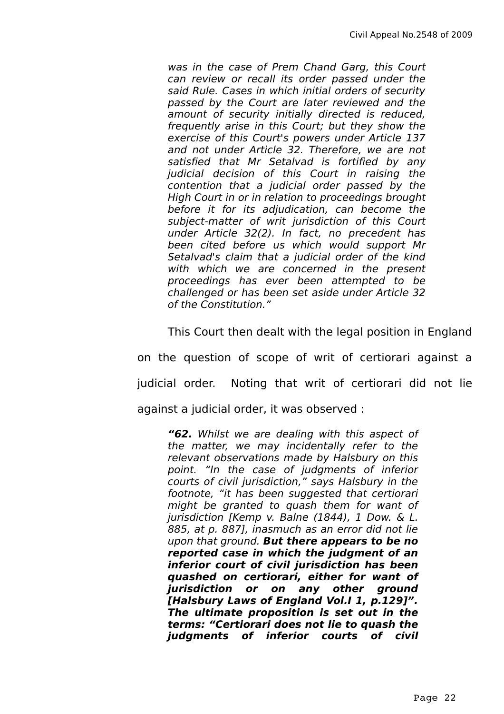was in the case of Prem Chand Garg, this Court can review or recall its order passed under the said Rule. Cases in which initial orders of security passed by the Court are later reviewed and the amount of security initially directed is reduced, frequently arise in this Court; but they show the exercise of this Court's powers under Article 137 and not under Article 32. Therefore, we are not satisfied that Mr Setalvad is fortified by any judicial decision of this Court in raising the contention that a judicial order passed by the High Court in or in relation to proceedings brought before it for its adjudication, can become the subject-matter of writ jurisdiction of this Court under Article 32(2). In fact, no precedent has been cited before us which would support Mr Setalvad's claim that a judicial order of the kind with which we are concerned in the present proceedings has ever been attempted to be challenged or has been set aside under Article 32 of the Constitution."

This Court then dealt with the legal position in England

on the question of scope of writ of certiorari against a judicial order. Noting that writ of certiorari did not lie against a judicial order, it was observed :

**"62.** Whilst we are dealing with this aspect of the matter, we may incidentally refer to the relevant observations made by Halsbury on this point. "In the case of judgments of inferior courts of civil jurisdiction," says Halsbury in the footnote, "it has been suggested that certiorari might be granted to quash them for want of jurisdiction [Kemp v. Balne (1844), 1 Dow. & L. 885, at p. 887], inasmuch as an error did not lie upon that ground. **But there appears to be no reported case in which the judgment of an inferior court of civil jurisdiction has been quashed on certiorari, either for want of jurisdiction or on any other ground [Halsbury Laws of England Vol.I 1, p.129]". The ultimate proposition is set out in the terms: "Certiorari does not lie to quash the judgments of inferior courts of civil**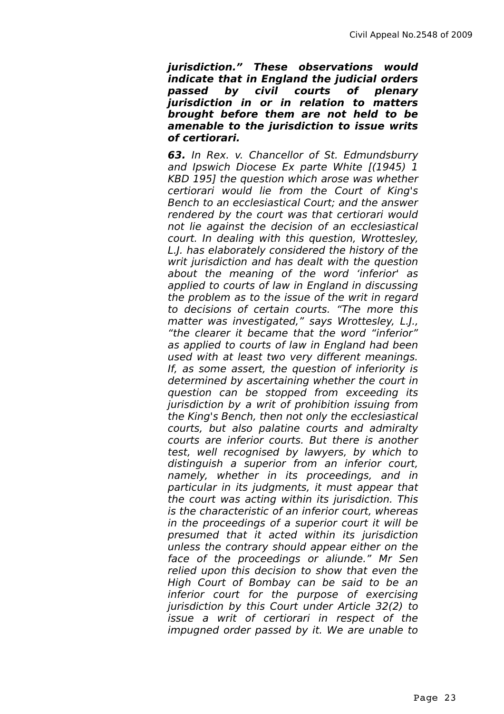**jurisdiction." These observations would indicate that in England the judicial orders passed by civil courts of plenary jurisdiction in or in relation to matters brought before them are not held to be amenable to the jurisdiction to issue writs of certiorari.**

**63.** In Rex. v. Chancellor of St. Edmundsburry and Ipswich Diocese Ex parte White [(1945) 1 KBD 195] the question which arose was whether certiorari would lie from the Court of King's Bench to an ecclesiastical Court; and the answer rendered by the court was that certiorari would not lie against the decision of an ecclesiastical court. In dealing with this question, Wrottesley, L.J. has elaborately considered the history of the writ jurisdiction and has dealt with the question about the meaning of the word 'inferior' as applied to courts of law in England in discussing the problem as to the issue of the writ in regard to decisions of certain courts. "The more this matter was investigated," says Wrottesley, L.J., "the clearer it became that the word "inferior" as applied to courts of law in England had been used with at least two very different meanings. If, as some assert, the question of inferiority is determined by ascertaining whether the court in question can be stopped from exceeding its jurisdiction by a writ of prohibition issuing from the King's Bench, then not only the ecclesiastical courts, but also palatine courts and admiralty courts are inferior courts. But there is another test, well recognised by lawyers, by which to distinguish a superior from an inferior court, namely, whether in its proceedings, and in particular in its judgments, it must appear that the court was acting within its jurisdiction. This is the characteristic of an inferior court, whereas in the proceedings of a superior court it will be presumed that it acted within its jurisdiction unless the contrary should appear either on the face of the proceedings or aliunde." Mr Sen relied upon this decision to show that even the High Court of Bombay can be said to be an inferior court for the purpose of exercising jurisdiction by this Court under Article 32(2) to issue a writ of certiorari in respect of the impugned order passed by it. We are unable to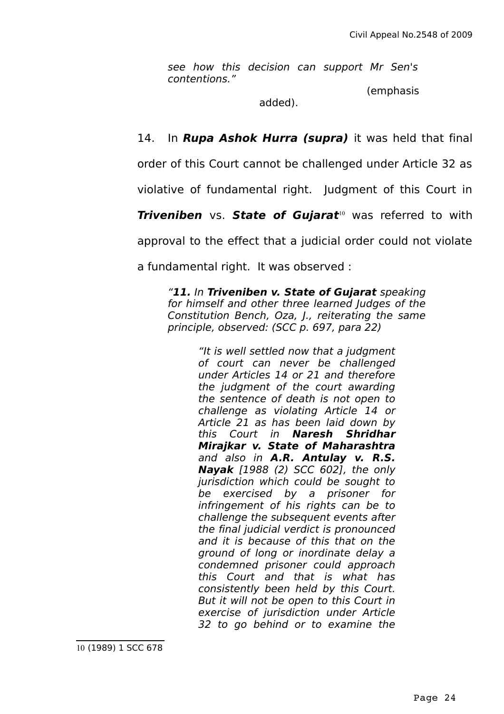see how this decision can support Mr Sen's contentions."

(emphasis

added).

14. In **Rupa Ashok Hurra (supra)** it was held that final

order of this Court cannot be challenged under Article 32 as

violative of fundamental right. Judgment of this Court in

**Triveniben** vs. **State of Gujarat**<sup>[10](#page-23-0)</sup> was referred to with

approval to the effect that a judicial order could not violate

a fundamental right. It was observed :

"**11.** In **Triveniben v. State of Gujarat** speaking for himself and other three learned Judges of the Constitution Bench, Oza, J., reiterating the same principle, observed: (SCC p. 697, para 22)

> <span id="page-23-0"></span>"It is well settled now that a judgment of court can never be challenged under Articles 14 or 21 and therefore the judgment of the court awarding the sentence of death is not open to challenge as violating Article 14 or Article 21 as has been laid down by this Court in **Naresh Shridhar Mirajkar v. State of Maharashtra** and also in **A.R. Antulay v. R.S. Nayak** [1988 (2) SCC 602], the only jurisdiction which could be sought to be exercised by a prisoner for infringement of his rights can be to challenge the subsequent events after the final judicial verdict is pronounced and it is because of this that on the ground of long or inordinate delay a condemned prisoner could approach this Court and that is what has consistently been held by this Court. But it will not be open to this Court in exercise of jurisdiction under Article 32 to go behind or to examine the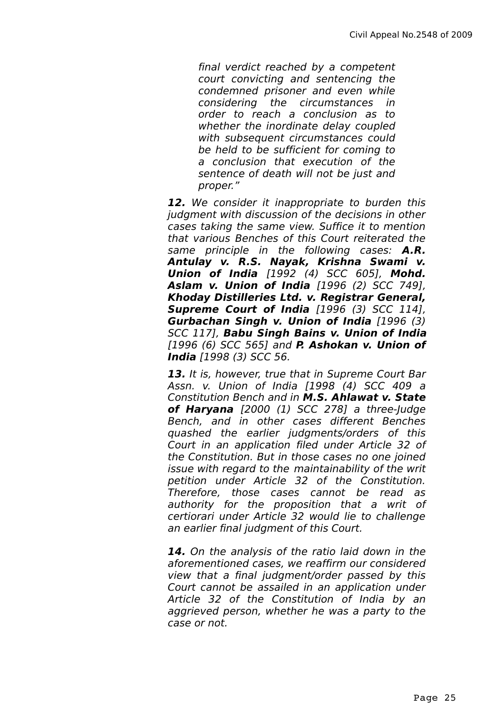final verdict reached by a competent court convicting and sentencing the condemned prisoner and even while considering the circumstances in order to reach a conclusion as to whether the inordinate delay coupled with subsequent circumstances could be held to be sufficient for coming to a conclusion that execution of the sentence of death will not be just and proper."

**12.** We consider it inappropriate to burden this judgment with discussion of the decisions in other cases taking the same view. Suffice it to mention that various Benches of this Court reiterated the same principle in the following cases: **A.R. Antulay v. R.S. Nayak, Krishna Swami v. Union of India** [1992 (4) SCC 605], **Mohd. Aslam v. Union of India** [1996 (2) SCC 749], **Khoday Distilleries Ltd. v. Registrar General, Supreme Court of India** [1996 (3) SCC 114], **Gurbachan Singh v. Union of India** [1996 (3) SCC 117], **Babu Singh Bains v. Union of India** [1996 (6) SCC 565] and **P. Ashokan v. Union of India** [1998 (3) SCC 56.

**13.** It is, however, true that in Supreme Court Bar Assn. v. Union of India [1998 (4) SCC 409 a Constitution Bench and in **M.S. Ahlawat v. State of Haryana** [2000 (1) SCC 278] a three-Judge Bench, and in other cases different Benches quashed the earlier judgments/orders of this Court in an application filed under Article 32 of the Constitution. But in those cases no one joined issue with regard to the maintainability of the writ petition under Article 32 of the Constitution. Therefore, those cases cannot be read as authority for the proposition that a writ of certiorari under Article 32 would lie to challenge an earlier final judgment of this Court.

**14.** On the analysis of the ratio laid down in the aforementioned cases, we reaffirm our considered view that a final judgment/order passed by this Court cannot be assailed in an application under Article 32 of the Constitution of India by an aggrieved person, whether he was a party to the case or not.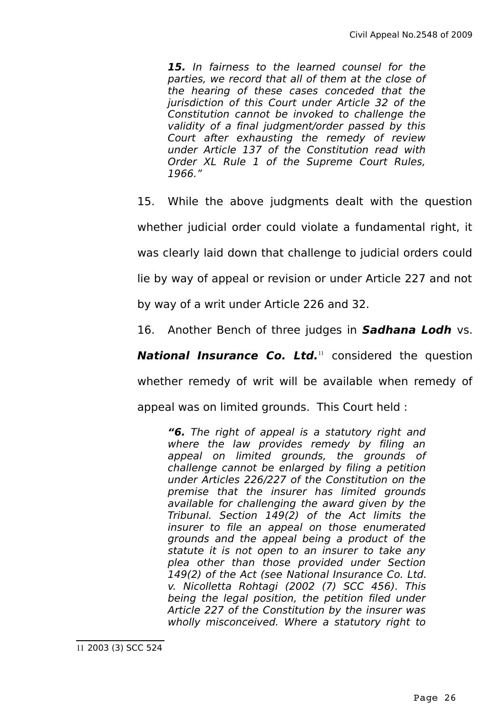**15.** In fairness to the learned counsel for the parties, we record that all of them at the close of the hearing of these cases conceded that the jurisdiction of this Court under Article 32 of the Constitution cannot be invoked to challenge the validity of a final judgment/order passed by this Court after exhausting the remedy of review under Article 137 of the Constitution read with Order XL Rule 1 of the Supreme Court Rules, 1966."

15. While the above judgments dealt with the question

whether judicial order could violate a fundamental right, it

was clearly laid down that challenge to judicial orders could

lie by way of appeal or revision or under Article 227 and not

by way of a writ under Article 226 and 32.

16. Another Bench of three judges in **Sadhana Lodh** vs.

**National Insurance Co. Ltd.**<sup>[11](#page-25-0)</sup> considered the question

whether remedy of writ will be available when remedy of

appeal was on limited grounds. This Court held :

<span id="page-25-0"></span>**"6.** The right of appeal is a statutory right and where the law provides remedy by filing an appeal on limited grounds, the grounds of challenge cannot be enlarged by filing a petition under Articles 226/227 of the Constitution on the premise that the insurer has limited grounds available for challenging the award given by the Tribunal. Section 149(2) of the Act limits the insurer to file an appeal on those enumerated grounds and the appeal being a product of the statute it is not open to an insurer to take any plea other than those provided under Section 149(2) of the Act (see National Insurance Co. Ltd. v. Nicolletta Rohtagi (2002 (7) SCC 456). This being the legal position, the petition filed under Article 227 of the Constitution by the insurer was wholly misconceived. Where a statutory right to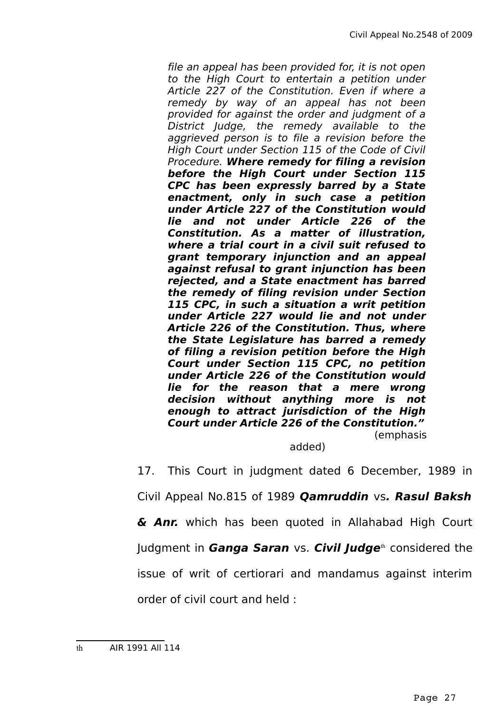file an appeal has been provided for, it is not open to the High Court to entertain a petition under Article 227 of the Constitution. Even if where a remedy by way of an appeal has not been provided for against the order and judgment of a District Judge, the remedy available to the aggrieved person is to file a revision before the High Court under Section 115 of the Code of Civil Procedure. **Where remedy for filing a revision before the High Court under Section 115 CPC has been expressly barred by a State enactment, only in such case a petition under Article 227 of the Constitution would lie and not under Article 226 of the Constitution. As a matter of illustration, where a trial court in a civil suit refused to grant temporary injunction and an appeal against refusal to grant injunction has been rejected, and a State enactment has barred the remedy of filing revision under Section 115 CPC, in such a situation a writ petition under Article 227 would lie and not under Article 226 of the Constitution. Thus, where the State Legislature has barred a remedy of filing a revision petition before the High Court under Section 115 CPC, no petition under Article 226 of the Constitution would lie for the reason that a mere wrong decision without anything more is not enough to attract jurisdiction of the High Court under Article 226 of the Constitution."** (emphasis

added)

17. This Court in judgment dated 6 December, 1989 in

Civil Appeal No.815 of 1989 **Qamruddin** vs**. Rasul Baksh**

**& Anr.** which has been quoted in Allahabad High Court

Judgment in **Ganga Saran** vs. **Civil Judge**<sup>[th](#page-26-0)</sup> considered the

issue of writ of certiorari and mandamus against interim

order of civil court and held :

<span id="page-26-0"></span>th AIR 1991 All 114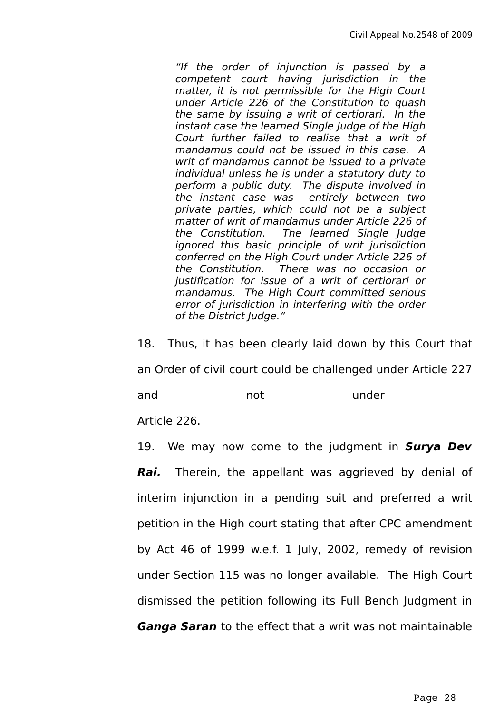"If the order of injunction is passed by a competent court having jurisdiction in the matter, it is not permissible for the High Court under Article 226 of the Constitution to quash the same by issuing a writ of certiorari. In the instant case the learned Single Judge of the High Court further failed to realise that a writ of mandamus could not be issued in this case. A writ of mandamus cannot be issued to a private individual unless he is under a statutory duty to perform a public duty. The dispute involved in the instant case was entirely between two private parties, which could not be a subject matter of writ of mandamus under Article 226 of the Constitution. The learned Single Judge ignored this basic principle of writ jurisdiction conferred on the High Court under Article 226 of the Constitution. There was no occasion or justification for issue of a writ of certiorari or mandamus. The High Court committed serious error of jurisdiction in interfering with the order of the District Judge."

18. Thus, it has been clearly laid down by this Court that an Order of civil court could be challenged under Article 227 and and not under

Article 226.

19. We may now come to the judgment in **Surya Dev Rai.** Therein, the appellant was aggrieved by denial of interim injunction in a pending suit and preferred a writ petition in the High court stating that after CPC amendment by Act 46 of 1999 w.e.f. 1 July, 2002, remedy of revision under Section 115 was no longer available. The High Court dismissed the petition following its Full Bench Judgment in **Ganga Saran** to the effect that a writ was not maintainable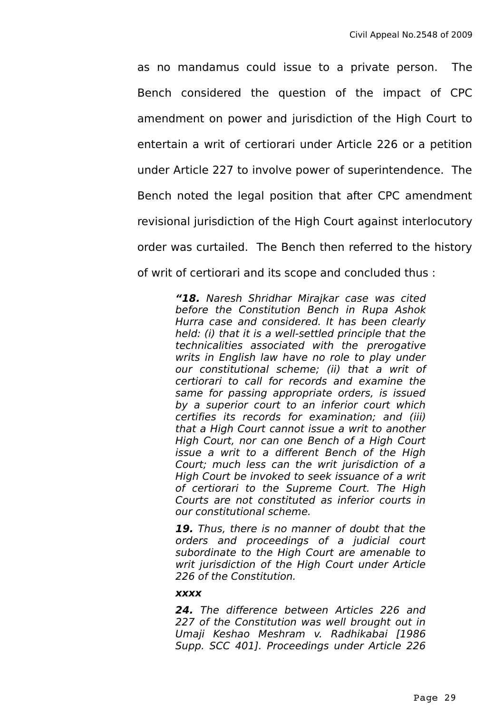as no mandamus could issue to a private person. The Bench considered the question of the impact of CPC amendment on power and jurisdiction of the High Court to entertain a writ of certiorari under Article 226 or a petition under Article 227 to involve power of superintendence. The Bench noted the legal position that after CPC amendment revisional jurisdiction of the High Court against interlocutory order was curtailed. The Bench then referred to the history of writ of certiorari and its scope and concluded thus :

> **"18.** Naresh Shridhar Mirajkar case was cited before the Constitution Bench in Rupa Ashok Hurra case and considered. It has been clearly held: (i) that it is a well-settled principle that the technicalities associated with the prerogative writs in English law have no role to play under our constitutional scheme; (ii) that a writ of certiorari to call for records and examine the same for passing appropriate orders, is issued by a superior court to an inferior court which certifies its records for examination; and (iii) that a High Court cannot issue a writ to another High Court, nor can one Bench of a High Court issue a writ to a different Bench of the High Court; much less can the writ jurisdiction of a High Court be invoked to seek issuance of a writ of certiorari to the Supreme Court. The High Courts are not constituted as inferior courts in our constitutional scheme.

> **19.** Thus, there is no manner of doubt that the orders and proceedings of a judicial court subordinate to the High Court are amenable to writ jurisdiction of the High Court under Article 226 of the Constitution.

#### **xxxx**

**24.** The difference between Articles 226 and 227 of the Constitution was well brought out in Umaji Keshao Meshram v. Radhikabai [1986 Supp. SCC 401]. Proceedings under Article 226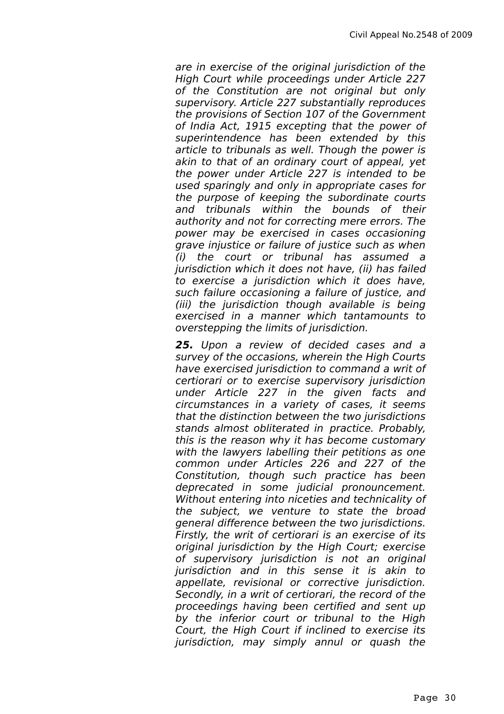are in exercise of the original jurisdiction of the High Court while proceedings under Article 227 of the Constitution are not original but only supervisory. Article 227 substantially reproduces the provisions of Section 107 of the Government of India Act, 1915 excepting that the power of superintendence has been extended by this article to tribunals as well. Though the power is akin to that of an ordinary court of appeal, yet the power under Article 227 is intended to be used sparingly and only in appropriate cases for the purpose of keeping the subordinate courts and tribunals within the bounds of their authority and not for correcting mere errors. The power may be exercised in cases occasioning grave injustice or failure of justice such as when (i) the court or tribunal has assumed a jurisdiction which it does not have, (ii) has failed to exercise a jurisdiction which it does have, such failure occasioning a failure of justice, and (iii) the jurisdiction though available is being exercised in a manner which tantamounts to overstepping the limits of jurisdiction.

**25.** Upon a review of decided cases and a survey of the occasions, wherein the High Courts have exercised jurisdiction to command a writ of certiorari or to exercise supervisory jurisdiction under Article 227 in the given facts and circumstances in a variety of cases, it seems that the distinction between the two jurisdictions stands almost obliterated in practice. Probably, this is the reason why it has become customary with the lawyers labelling their petitions as one common under Articles 226 and 227 of the Constitution, though such practice has been deprecated in some judicial pronouncement. Without entering into niceties and technicality of the subject, we venture to state the broad general difference between the two jurisdictions. Firstly, the writ of certiorari is an exercise of its original jurisdiction by the High Court; exercise of supervisory jurisdiction is not an original jurisdiction and in this sense it is akin to appellate, revisional or corrective jurisdiction. Secondly, in a writ of certiorari, the record of the proceedings having been certified and sent up by the inferior court or tribunal to the High Court, the High Court if inclined to exercise its jurisdiction, may simply annul or quash the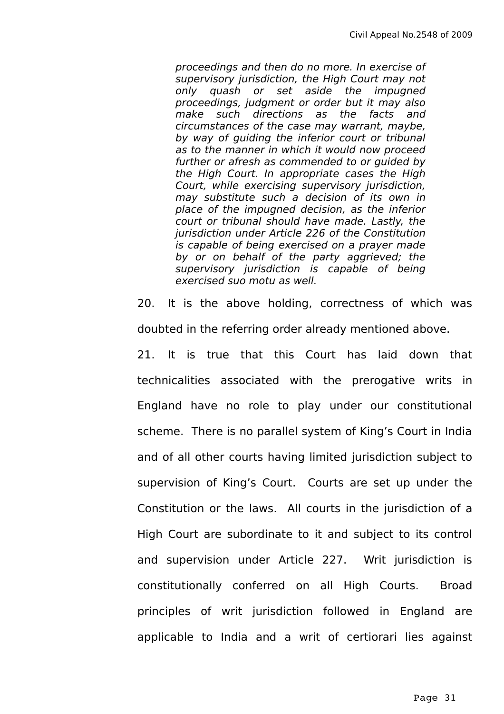proceedings and then do no more. In exercise of supervisory jurisdiction, the High Court may not only quash or set aside the impugned proceedings, judgment or order but it may also make such directions as the facts and circumstances of the case may warrant, maybe, by way of guiding the inferior court or tribunal as to the manner in which it would now proceed further or afresh as commended to or guided by the High Court. In appropriate cases the High Court, while exercising supervisory jurisdiction, may substitute such a decision of its own in place of the impugned decision, as the inferior court or tribunal should have made. Lastly, the jurisdiction under Article 226 of the Constitution is capable of being exercised on a prayer made by or on behalf of the party aggrieved; the supervisory jurisdiction is capable of being exercised suo motu as well.

20. It is the above holding, correctness of which was doubted in the referring order already mentioned above.

21. It is true that this Court has laid down that technicalities associated with the prerogative writs in England have no role to play under our constitutional scheme. There is no parallel system of King's Court in India and of all other courts having limited jurisdiction subject to supervision of King's Court. Courts are set up under the Constitution or the laws. All courts in the jurisdiction of a High Court are subordinate to it and subject to its control and supervision under Article 227. Writ jurisdiction is constitutionally conferred on all High Courts. Broad principles of writ jurisdiction followed in England are applicable to India and a writ of certiorari lies against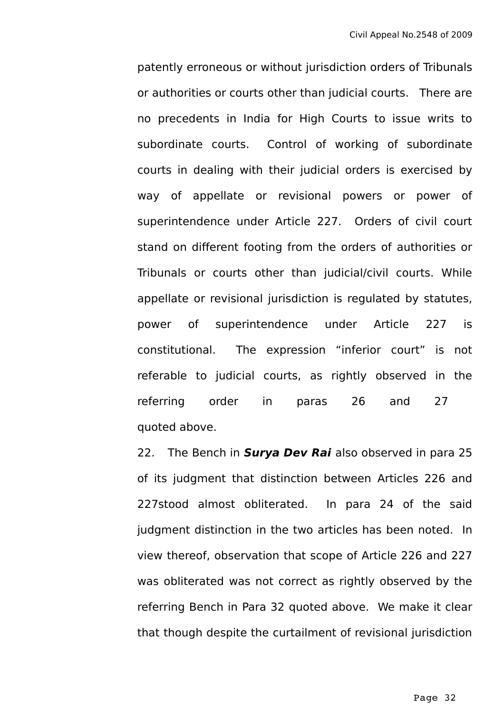patently erroneous or without jurisdiction orders of Tribunals or authorities or courts other than judicial courts. There are no precedents in India for High Courts to issue writs to subordinate courts. Control of working of subordinate courts in dealing with their judicial orders is exercised by way of appellate or revisional powers or power of superintendence under Article 227. Orders of civil court stand on different footing from the orders of authorities or Tribunals or courts other than judicial/civil courts. While appellate or revisional jurisdiction is regulated by statutes, power of superintendence under Article 227 is constitutional. The expression "inferior court" is not referable to judicial courts, as rightly observed in the referring order in paras 26 and 27 quoted above.

22. The Bench in **Surya Dev Rai** also observed in para 25 of its judgment that distinction between Articles 226 and 227stood almost obliterated. In para 24 of the said judgment distinction in the two articles has been noted. In view thereof, observation that scope of Article 226 and 227 was obliterated was not correct as rightly observed by the referring Bench in Para 32 quoted above. We make it clear that though despite the curtailment of revisional jurisdiction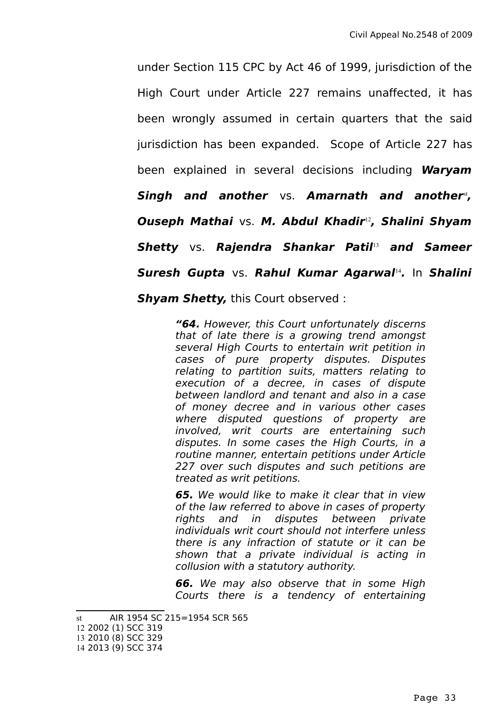under Section 115 CPC by Act 46 of 1999, jurisdiction of the High Court under Article 227 remains unaffected, it has been wrongly assumed in certain quarters that the said jurisdiction has been expanded. Scope of Article 227 has been explained in several decisions including **Waryam Singh and another** vs. **Amarnath and another**[st](#page-32-0) **, Ouseph Mathai** vs. **M. Abdul Khadir**[12](#page-32-1)**, Shalini Shyam Shetty** vs. **Rajendra Shankar Patil**[13](#page-32-2) **and Sameer Suresh Gupta** vs. **Rahul Kumar Agarwal**[14](#page-32-3) **.** In **Shalini Shyam Shetty,** this Court observed :

> **"64.** However, this Court unfortunately discerns that of late there is a growing trend amongst several High Courts to entertain writ petition in cases of pure property disputes. Disputes relating to partition suits, matters relating to execution of a decree, in cases of dispute between landlord and tenant and also in a case of money decree and in various other cases where disputed questions of property are involved, writ courts are entertaining such disputes. In some cases the High Courts, in a routine manner, entertain petitions under Article 227 over such disputes and such petitions are treated as writ petitions.

> **65.** We would like to make it clear that in view of the law referred to above in cases of property rights and in disputes between private individuals writ court should not interfere unless there is any infraction of statute or it can be shown that a private individual is acting in collusion with a statutory authority.

> **66.** We may also observe that in some High Courts there is a tendency of entertaining

<span id="page-32-0"></span>st AIR 1954 SC 215=1954 SCR 565

<span id="page-32-3"></span><span id="page-32-2"></span><span id="page-32-1"></span><sup>12</sup> 2002 (1) SCC 319 13 2010 (8) SCC 329 14 2013 (9) SCC 374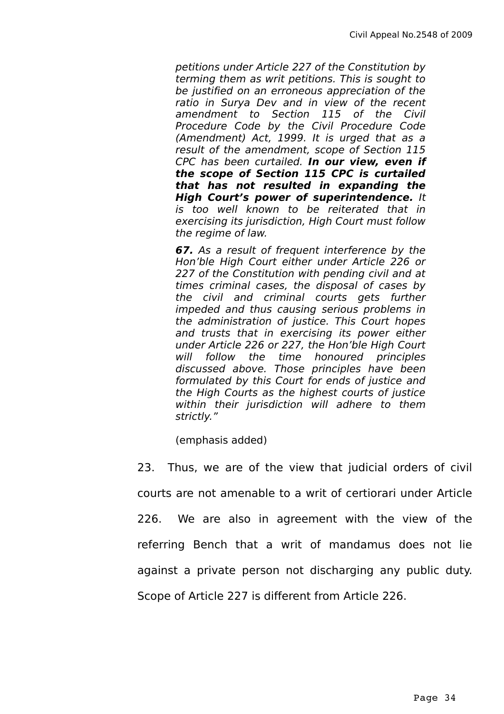petitions under Article 227 of the Constitution by terming them as writ petitions. This is sought to be justified on an erroneous appreciation of the ratio in Surya Dev and in view of the recent amendment to Section 115 of the Civil Procedure Code by the Civil Procedure Code (Amendment) Act, 1999. It is urged that as a result of the amendment, scope of Section 115 CPC has been curtailed. **In our view, even if the scope of Section 115 CPC is curtailed that has not resulted in expanding the High Court's power of superintendence.** It is too well known to be reiterated that in exercising its jurisdiction, High Court must follow the regime of law.

**67.** As a result of frequent interference by the Hon'ble High Court either under Article 226 or 227 of the Constitution with pending civil and at times criminal cases, the disposal of cases by the civil and criminal courts gets further impeded and thus causing serious problems in the administration of justice. This Court hopes and trusts that in exercising its power either under Article 226 or 227, the Hon'ble High Court will follow the time honoured principles discussed above. Those principles have been formulated by this Court for ends of justice and the High Courts as the highest courts of justice within their jurisdiction will adhere to them strictly."

(emphasis added)

23. Thus, we are of the view that judicial orders of civil courts are not amenable to a writ of certiorari under Article 226. We are also in agreement with the view of the referring Bench that a writ of mandamus does not lie against a private person not discharging any public duty. Scope of Article 227 is different from Article 226.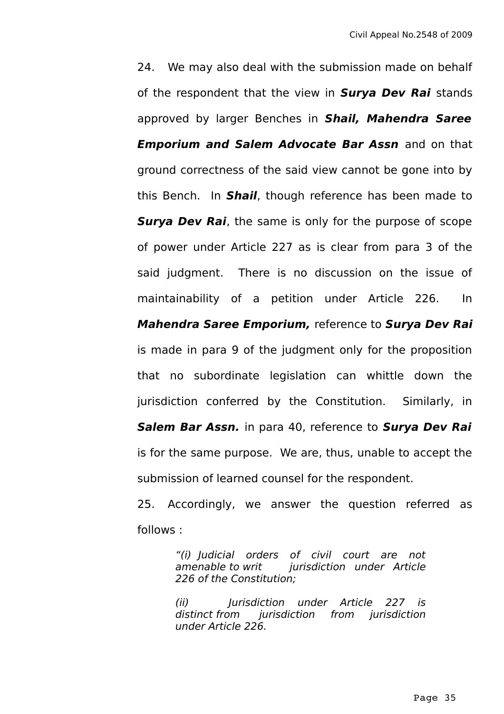24. We may also deal with the submission made on behalf of the respondent that the view in **Surya Dev Rai** stands approved by larger Benches in **Shail, Mahendra Saree Emporium and Salem Advocate Bar Assn** and on that ground correctness of the said view cannot be gone into by this Bench. In **Shail**, though reference has been made to **Surya Dev Rai**, the same is only for the purpose of scope of power under Article 227 as is clear from para 3 of the said judgment. There is no discussion on the issue of maintainability of a petition under Article 226. In **Mahendra Saree Emporium,** reference to **Surya Dev Rai** is made in para 9 of the judgment only for the proposition that no subordinate legislation can whittle down the jurisdiction conferred by the Constitution. Similarly, in **Salem Bar Assn.** in para 40, reference to **Surya Dev Rai** is for the same purpose. We are, thus, unable to accept the submission of learned counsel for the respondent. 25. Accordingly, we answer the question referred as

follows :

"(i) Judicial orders of civil court are not jurisdiction under Article 226 of the Constitution;

(ii) Jurisdiction under Article 227 is distinct from jurisdiction from jurisdiction under Article 226.